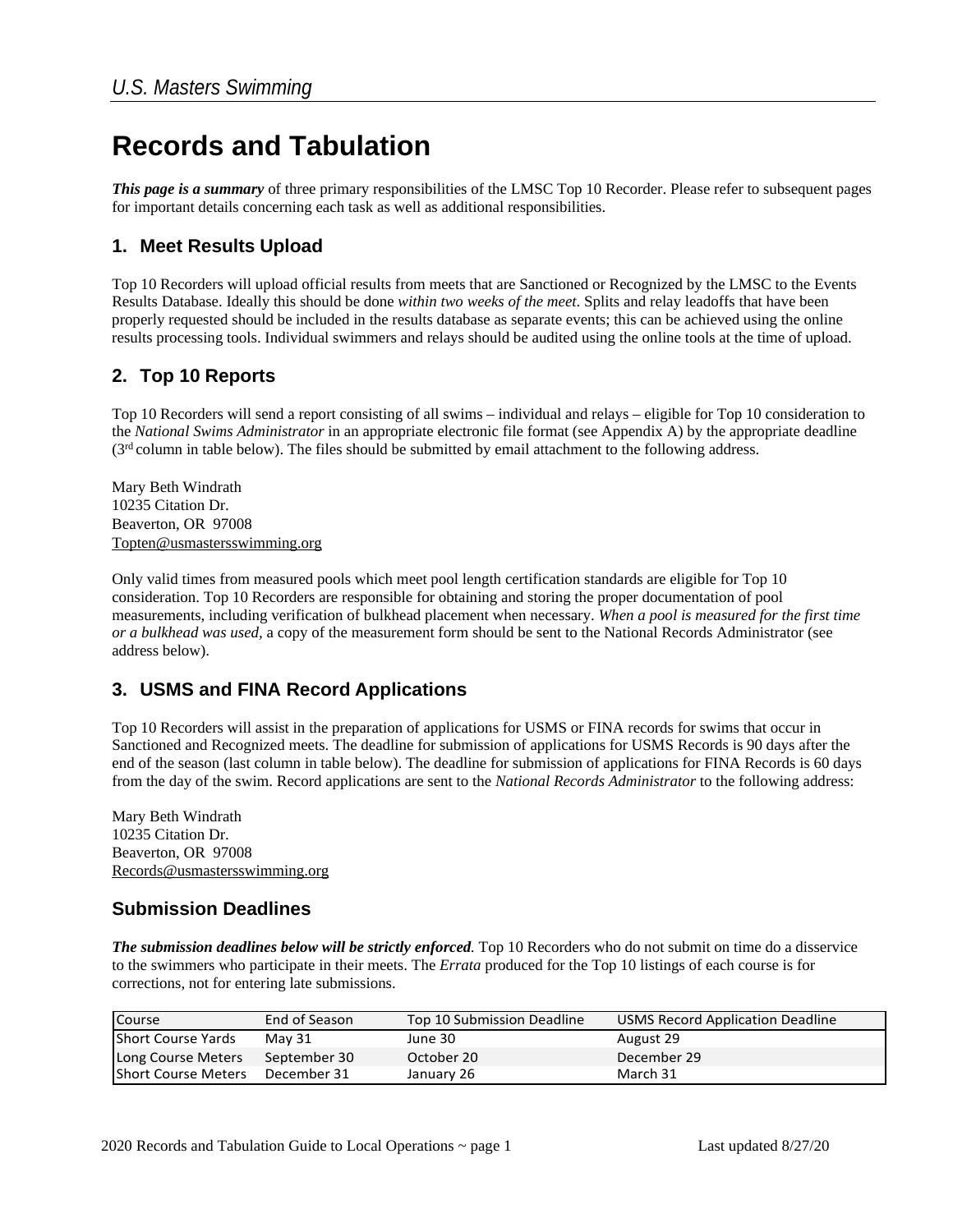# **Records and Tabulation**

*This page is a summary* of three primary responsibilities of the LMSC Top 10 Recorder. Please refer to subsequent pages for important details concerning each task as well as additional responsibilities.

#### **1. Meet Results Upload**

Top 10 Recorders will upload official results from meets that are Sanctioned or Recognized by the LMSC to the Events Results Database. Ideally this should be done *within two weeks of the meet*. Splits and relay leadoffs that have been properly requested should be included in the results database as separate events; this can be achieved using the online results processing tools. Individual swimmers and relays should be audited using the online tools at the time of upload.

#### **2. Top 10 Reports**

Top 10 Recorders will send a report consisting of all swims – individual and relays – eligible for Top 10 consideration to the *National Swims Administrator* in an appropriate electronic file format (see Appendix A) by the appropriate deadline  $(3<sup>rd</sup>$  column in table below). The files should be submitted by email attachment to the following address.

Mary Beth Windrath 10235 Citation Dr. Beaverton, OR 97008 Topten@usmastersswimming.org

Only valid times from measured pools which meet pool length certification standards are eligible for Top 10 consideration. Top 10 Recorders are responsible for obtaining and storing the proper documentation of pool measurements, including verification of bulkhead placement when necessary. *When a pool is measured for the first time or a bulkhead was used,* a copy of the measurement form should be sent to the National Records Administrator (see address below).

#### **3. USMS and FINA Record Applications**

Top 10 Recorders will assist in the preparation of applications for USMS or FINA records for swims that occur in Sanctioned and Recognized meets. The deadline for submission of applications for USMS Records is 90 days after the end of the season (last column in table below). The deadline for submission of applications for FINA Records is 60 days from the day of the swim. Record applications are sent to the *National Records Administrator* to the following address:

Mary Beth Windrath 10235 Citation Dr. Beaverton, OR 97008 Records@usmastersswimming.org

#### **Submission Deadlines**

*The submission deadlines below will be strictly enforced.* Top 10 Recorders who do not submit on time do a disservice to the swimmers who participate in their meets. The *Errata* produced for the Top 10 listings of each course is for corrections, not for entering late submissions.

| Course                     | End of Season | Top 10 Submission Deadline | USMS Record Application Deadline |
|----------------------------|---------------|----------------------------|----------------------------------|
| Short Course Yards         | May 31        | June 30                    | August 29                        |
| Long Course Meters         | September 30  | October 20                 | December 29                      |
| <b>Short Course Meters</b> | December 31   | January 26                 | March 31                         |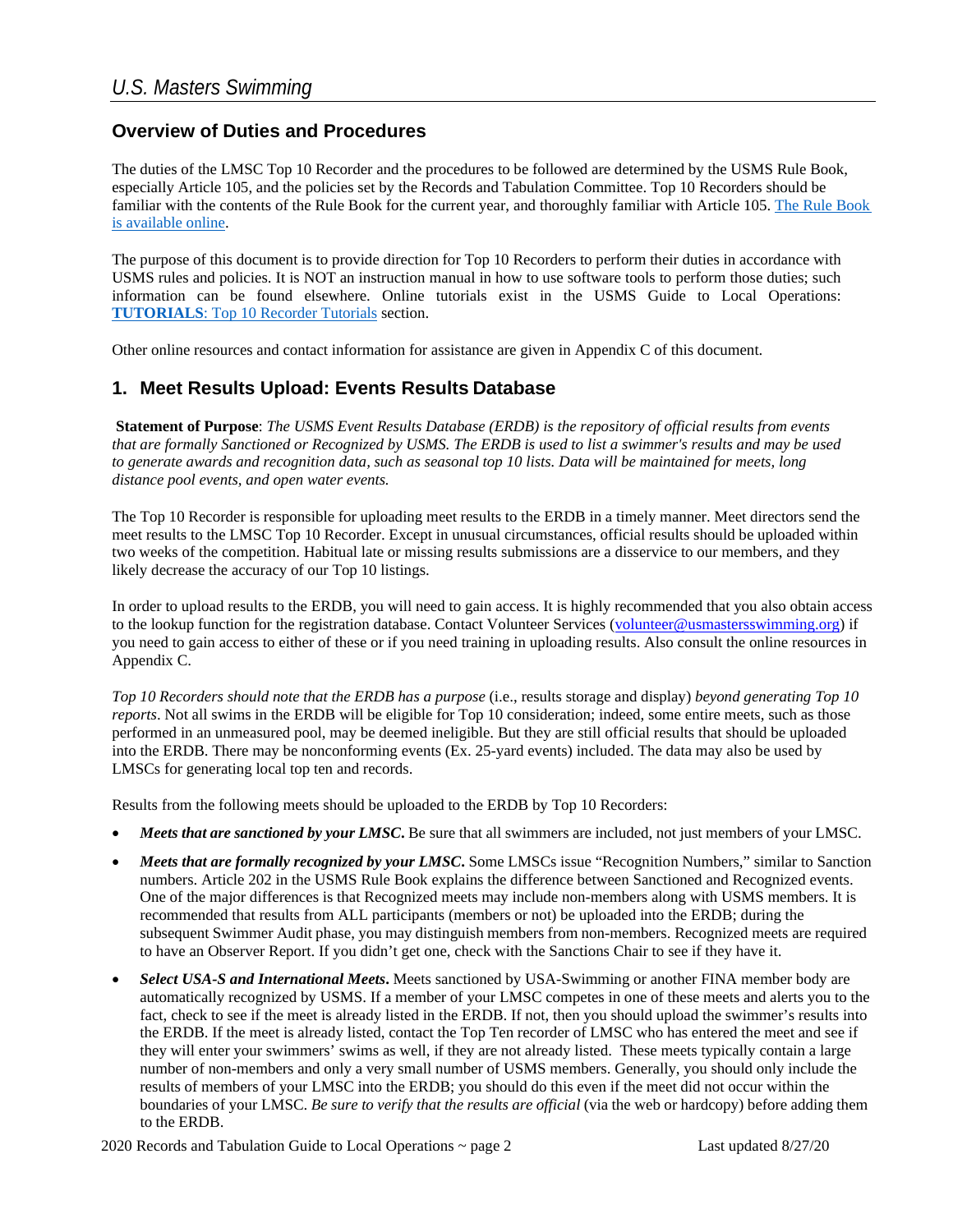#### **Overview of Duties and Procedures**

The duties of the LMSC Top 10 Recorder and the procedures to be followed are determined by the USMS Rule Book, especially Article 105, and the policies set by the Records and Tabulation Committee. Top 10 Recorders should be familiar with the contents of the Rule Book for the current year, and thoroughly familiar with Article 105. [The Rule Book](https://www.usms.org/volunteer-central/us-masters-swimming-rule-book)  [is available online.](https://www.usms.org/volunteer-central/us-masters-swimming-rule-book)

The purpose of this document is to provide direction for Top 10 Recorders to perform their duties in accordance with USMS rules and policies. It is NOT an instruction manual in how to use software tools to perform those duties; such information can be found elsewhere. Online tutorials exist in the USMS Guide to Local Operations: **TUTORIALS**: [Top 10 Recorder Tutorials](https://www.usms.org/volunteer-central/guide-to-local-operations/lmsc-operations/top-ten-recorders/top-10-tutorials) section.

Other online resources and contact information for assistance are given in Appendix C of this document.

#### **1. Meet Results Upload: Events Results Database**

**Statement of Purpose**: *The USMS Event Results Database (ERDB) is the repository of official results from events that are formally Sanctioned or Recognized by USMS. The ERDB is used to list a swimmer's results and may be used to generate awards and recognition data, such as seasonal top 10 lists. Data will be maintained for meets, long distance pool events, and open water events.*

The Top 10 Recorder is responsible for uploading meet results to the ERDB in a timely manner. Meet directors send the meet results to the LMSC Top 10 Recorder. Except in unusual circumstances, official results should be uploaded within two weeks of the competition. Habitual late or missing results submissions are a disservice to our members, and they likely decrease the accuracy of our Top 10 listings.

In order to upload results to the ERDB, you will need to gain access. It is highly recommended that you also obtain access to the lookup function for the registration database. Contact Volunteer Services (volunteer@usmastersswimming.org) if you need to gain access to either of these or if you need training in uploading results. Also consult the online resources in Appendix C.

*Top 10 Recorders should note that the ERDB has a purpose* (i.e., results storage and display) *beyond generating Top 10 reports*. Not all swims in the ERDB will be eligible for Top 10 consideration; indeed, some entire meets, such as those performed in an unmeasured pool, may be deemed ineligible. But they are still official results that should be uploaded into the ERDB. There may be nonconforming events (Ex. 25-yard events) included. The data may also be used by LMSCs for generating local top ten and records.

Results from the following meets should be uploaded to the ERDB by Top 10 Recorders:

- *Meets that are sanctioned by your LMSC***.** Be sure that all swimmers are included, not just members of your LMSC.
- *Meets that are formally recognized by your LMSC***.** Some LMSCs issue "Recognition Numbers," similar to Sanction numbers. Article 202 in the USMS Rule Book explains the difference between Sanctioned and Recognized events. One of the major differences is that Recognized meets may include non-members along with USMS members. It is recommended that results from ALL participants (members or not) be uploaded into the ERDB; during the subsequent Swimmer Audit phase, you may distinguish members from non-members. Recognized meets are required to have an Observer Report. If you didn't get one, check with the Sanctions Chair to see if they have it.
- *Select USA-S and International Meets***.** Meets sanctioned by USA-Swimming or another FINA member body are automatically recognized by USMS. If a member of your LMSC competes in one of these meets and alerts you to the fact, check to see if the meet is already listed in the ERDB. If not, then you should upload the swimmer's results into the ERDB. If the meet is already listed, contact the Top Ten recorder of LMSC who has entered the meet and see if they will enter your swimmers' swims as well, if they are not already listed. These meets typically contain a large number of non-members and only a very small number of USMS members. Generally, you should only include the results of members of your LMSC into the ERDB; you should do this even if the meet did not occur within the boundaries of your LMSC. *Be sure to verify that the results are official* (via the web or hardcopy) before adding them to the ERDB.

2020 Records and Tabulation Guide to Local Operations ~ page 2 Last updated 8/27/20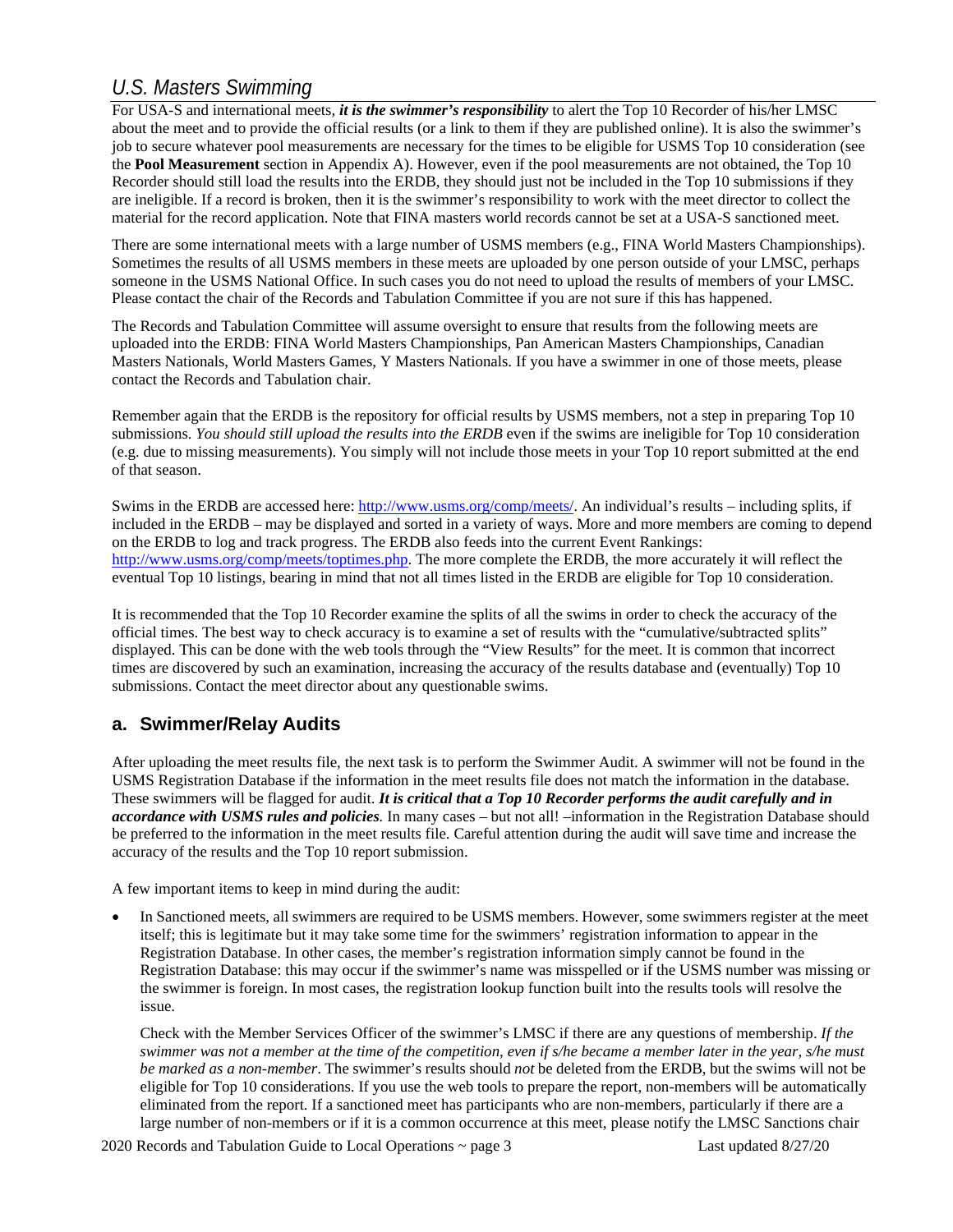For USA-S and international meets, *it is the swimmer's responsibility* to alert the Top 10 Recorder of his/her LMSC about the meet and to provide the official results (or a link to them if they are published online). It is also the swimmer's job to secure whatever pool measurements are necessary for the times to be eligible for USMS Top 10 consideration (see the **Pool Measurement** section in Appendix A). However, even if the pool measurements are not obtained, the Top 10 Recorder should still load the results into the ERDB, they should just not be included in the Top 10 submissions if they are ineligible. If a record is broken, then it is the swimmer's responsibility to work with the meet director to collect the material for the record application. Note that FINA masters world records cannot be set at a USA-S sanctioned meet.

There are some international meets with a large number of USMS members (e.g., FINA World Masters Championships). Sometimes the results of all USMS members in these meets are uploaded by one person outside of your LMSC, perhaps someone in the USMS National Office. In such cases you do not need to upload the results of members of your LMSC. Please contact the chair of the Records and Tabulation Committee if you are not sure if this has happened.

The Records and Tabulation Committee will assume oversight to ensure that results from the following meets are uploaded into the ERDB: FINA World Masters Championships, Pan American Masters Championships, Canadian Masters Nationals, World Masters Games, Y Masters Nationals. If you have a swimmer in one of those meets, please contact the Records and Tabulation chair.

Remember again that the ERDB is the repository for official results by USMS members, not a step in preparing Top 10 submissions. *You should still upload the results into the ERDB* even if the swims are ineligible for Top 10 consideration (e.g. due to missing measurements). You simply will not include those meets in your Top 10 report submitted at the end of that season.

Swims in the ERDB are accessed here[: http://www.usms.org/comp/meets/. A](http://www.usms.org/comp/meets/)n individual's results – including splits, if included in the ERDB – may be displayed and sorted in a variety of ways. More and more members are coming to depend on the ERDB to log and track progress. The ERDB also feeds into the current Event Rankings: [http://www.usms.org/comp/meets/toptimes.php. T](http://www.usms.org/comp/meets/toptimes.php)he more complete the ERDB, the more accurately it will reflect the eventual Top 10 listings, bearing in mind that not all times listed in the ERDB are eligible for Top 10 consideration.

It is recommended that the Top 10 Recorder examine the splits of all the swims in order to check the accuracy of the official times. The best way to check accuracy is to examine a set of results with the "cumulative/subtracted splits" displayed. This can be done with the web tools through the "View Results" for the meet. It is common that incorrect times are discovered by such an examination, increasing the accuracy of the results database and (eventually) Top 10 submissions. Contact the meet director about any questionable swims.

#### **a. Swimmer/Relay Audits**

After uploading the meet results file, the next task is to perform the Swimmer Audit. A swimmer will not be found in the USMS Registration Database if the information in the meet results file does not match the information in the database. These swimmers will be flagged for audit. *It is critical that a Top 10 Recorder performs the audit carefully and in accordance with USMS rules and policies.* In many cases – but not all! –information in the Registration Database should be preferred to the information in the meet results file. Careful attention during the audit will save time and increase the accuracy of the results and the Top 10 report submission.

A few important items to keep in mind during the audit:

In Sanctioned meets, all swimmers are required to be USMS members. However, some swimmers register at the meet itself; this is legitimate but it may take some time for the swimmers' registration information to appear in the Registration Database. In other cases, the member's registration information simply cannot be found in the Registration Database: this may occur if the swimmer's name was misspelled or if the USMS number was missing or the swimmer is foreign. In most cases, the registration lookup function built into the results tools will resolve the issue.

Check with the Member Services Officer of the swimmer's LMSC if there are any questions of membership. *If the swimmer was not a member at the time of the competition, even if s/he became a member later in the year, s/he must be marked as a non-member*. The swimmer's results should *not* be deleted from the ERDB, but the swims will not be eligible for Top 10 considerations. If you use the web tools to prepare the report, non-members will be automatically eliminated from the report. If a sanctioned meet has participants who are non-members, particularly if there are a large number of non-members or if it is a common occurrence at this meet, please notify the LMSC Sanctions chair

2020 Records and Tabulation Guide to Local Operations ~ page 3 Last updated 8/27/20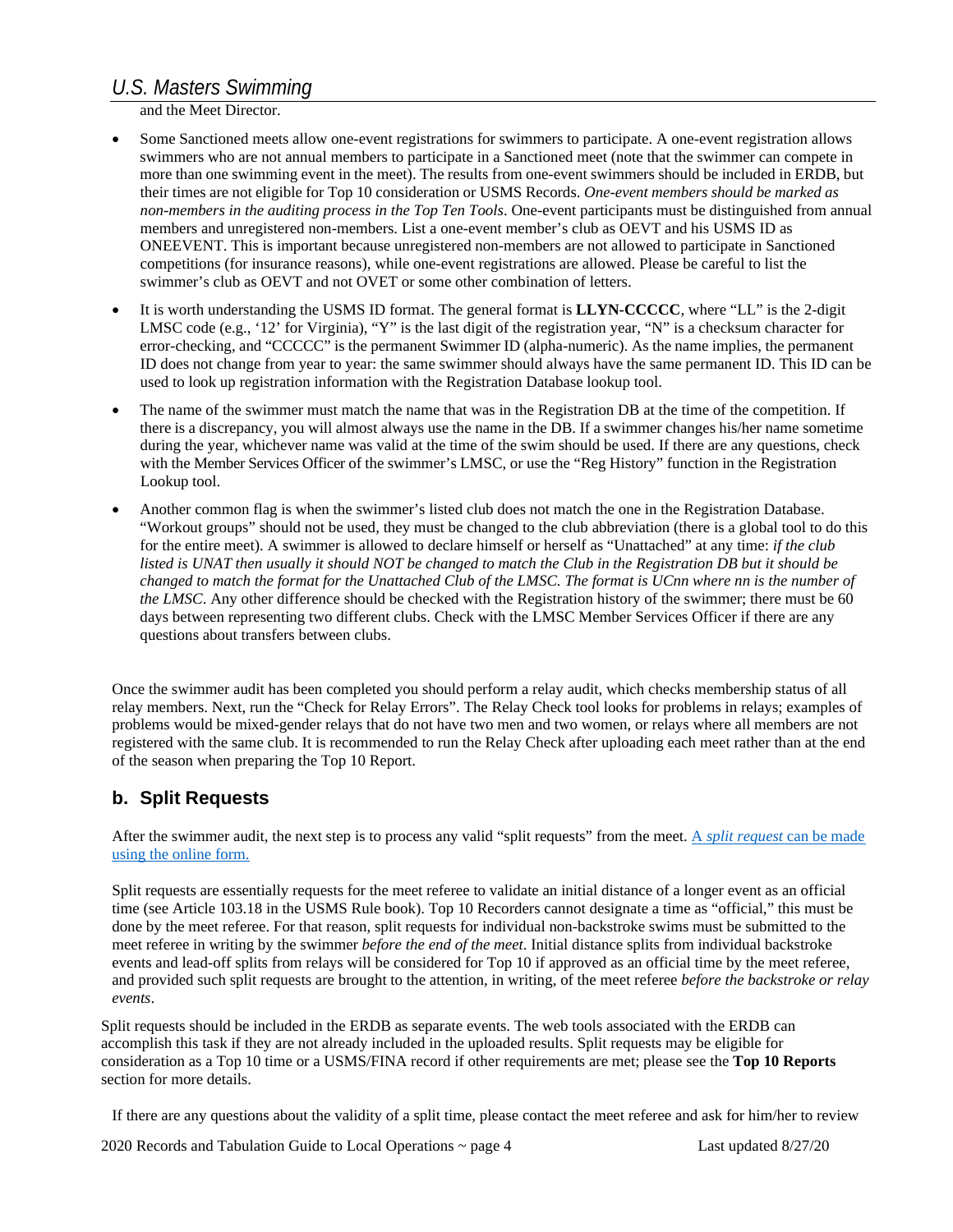and the Meet Director.

- Some Sanctioned meets allow one-event registrations for swimmers to participate. A one-event registration allows swimmers who are not annual members to participate in a Sanctioned meet (note that the swimmer can compete in more than one swimming event in the meet). The results from one-event swimmers should be included in ERDB, but their times are not eligible for Top 10 consideration or USMS Records. *One-event members should be marked as non-members in the auditing process in the Top Ten Tools*. One-event participants must be distinguished from annual members and unregistered non-members. List a one-event member's club as OEVT and his USMS ID as ONEEVENT. This is important because unregistered non-members are not allowed to participate in Sanctioned competitions (for insurance reasons), while one-event registrations are allowed. Please be careful to list the swimmer's club as OEVT and not OVET or some other combination of letters.
- It is worth understanding the USMS ID format. The general format is **LLYN-CCCCC**, where "LL" is the 2-digit LMSC code (e.g., '12' for Virginia), "Y" is the last digit of the registration year, "N" is a checksum character for error-checking, and "CCCCC" is the permanent Swimmer ID (alpha-numeric). As the name implies, the permanent ID does not change from year to year: the same swimmer should always have the same permanent ID. This ID can be used to look up registration information with the Registration Database lookup tool.
- The name of the swimmer must match the name that was in the Registration DB at the time of the competition. If there is a discrepancy, you will almost always use the name in the DB. If a swimmer changes his/her name sometime during the year, whichever name was valid at the time of the swim should be used. If there are any questions, check with the Member Services Officer of the swimmer's LMSC, or use the "Reg History" function in the Registration Lookup tool.
- Another common flag is when the swimmer's listed club does not match the one in the Registration Database. "Workout groups" should not be used, they must be changed to the club abbreviation (there is a global tool to do this for the entire meet). A swimmer is allowed to declare himself or herself as "Unattached" at any time: *if the club listed is UNAT then usually it should NOT be changed to match the Club in the Registration DB but it should be changed to match the format for the Unattached Club of the LMSC. The format is UCnn where nn is the number of the LMSC*. Any other difference should be checked with the Registration history of the swimmer; there must be 60 days between representing two different clubs. Check with the LMSC Member Services Officer if there are any questions about transfers between clubs.

Once the swimmer audit has been completed you should perform a relay audit, which checks membership status of all relay members. Next, run the "Check for Relay Errors". The Relay Check tool looks for problems in relays; examples of problems would be mixed-gender relays that do not have two men and two women, or relays where all members are not registered with the same club. It is recommended to run the Relay Check after uploading each meet rather than at the end of the season when preparing the Top 10 Report.

#### **b. Split Requests**

After the swimmer audit, the next step is to process any valid "split requests" from the meet. A *split request* [can be made](https://www.usms.org/admin/lmschb/gto_rectab_split_request.pdf)  [using the](https://www.usms.org/admin/lmschb/gto_rectab_split_request.pdf) online form.

Split requests are essentially requests for the meet referee to validate an initial distance of a longer event as an official time (see Article 103.18 in the USMS Rule book). Top 10 Recorders cannot designate a time as "official," this must be done by the meet referee. For that reason, split requests for individual non-backstroke swims must be submitted to the meet referee in writing by the swimmer *before the end of the meet*. Initial distance splits from individual backstroke events and lead-off splits from relays will be considered for Top 10 if approved as an official time by the meet referee, and provided such split requests are brought to the attention, in writing, of the meet referee *before the backstroke or relay events*.

Split requests should be included in the ERDB as separate events. The web tools associated with the ERDB can accomplish this task if they are not already included in the uploaded results. Split requests may be eligible for consideration as a Top 10 time or a USMS/FINA record if other requirements are met; please see the **Top 10 Reports**  section for more details.

If there are any questions about the validity of a split time, please contact the meet referee and ask for him/her to review

2020 Records and Tabulation Guide to Local Operations ~ page 4 Last updated 8/27/20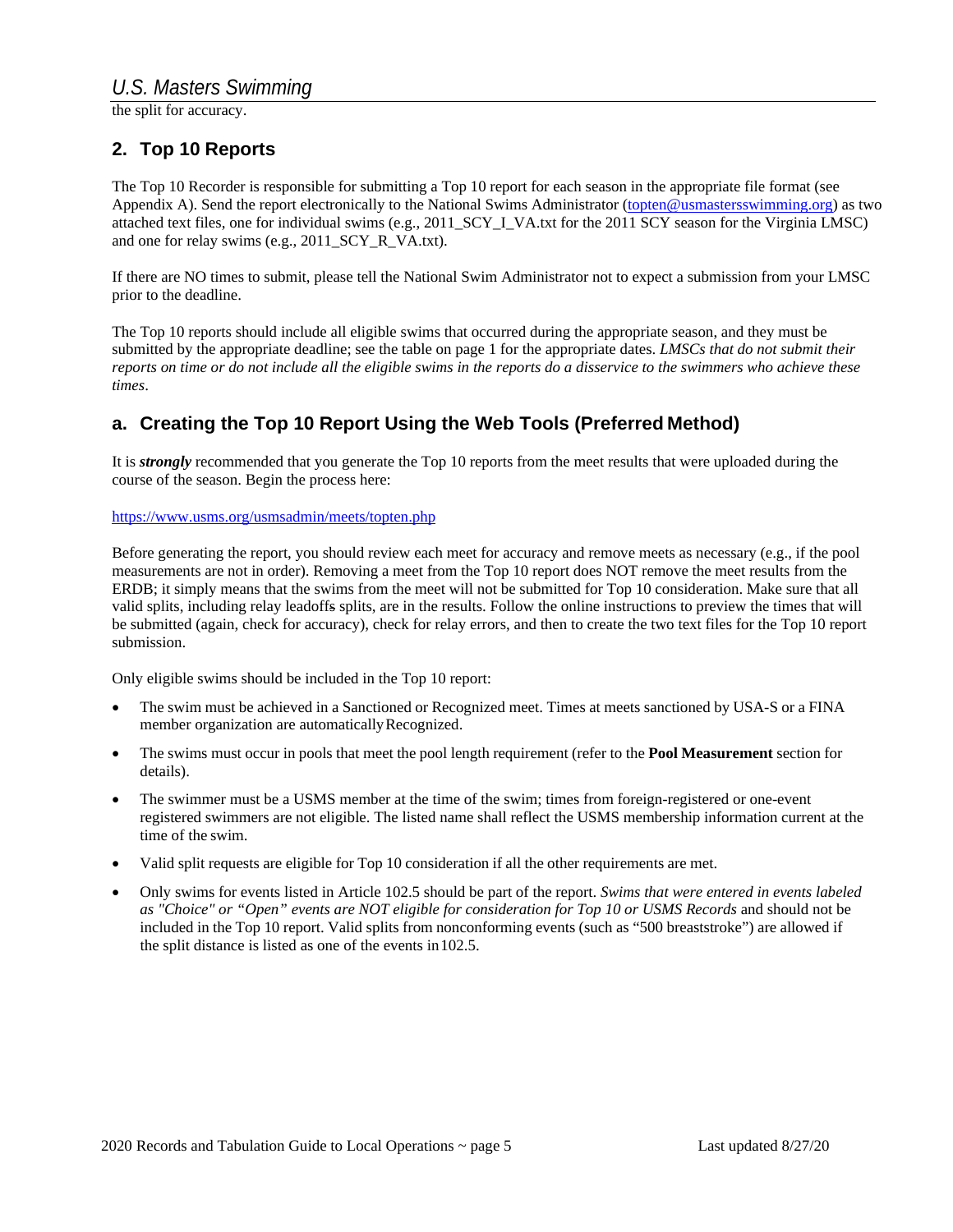the split for accuracy.

#### **2. Top 10 Reports**

The Top 10 Recorder is responsible for submitting a Top 10 report for each season in the appropriate file format (see Appendix A). Send the report electronically to the National Swims Administrator (topten@usmastersswimming.org) as two attached text files, one for individual swims (e.g., 2011\_SCY\_I\_VA.txt for the 2011 SCY season for the Virginia LMSC) and one for relay swims (e.g., 2011\_SCY\_R\_VA.txt).

If there are NO times to submit, please tell the National Swim Administrator not to expect a submission from your LMSC prior to the deadline.

The Top 10 reports should include all eligible swims that occurred during the appropriate season, and they must be submitted by the appropriate deadline; see the table on page 1 for the appropriate dates. *LMSCs that do not submit their reports on time or do not include all the eligible swims in the reports do a disservice to the swimmers who achieve these times*.

## **a. Creating the Top 10 Report Using the Web Tools (Preferred Method)**

It is *strongly* recommended that you generate the Top 10 reports from the meet results that were uploaded during the course of the season. Begin the process here:

#### https:/[/www.usms.org/usmsadmin/meets/topten.php](http://www.usms.org/usmsadmin/meets/topten.php)

Before generating the report, you should review each meet for accuracy and remove meets as necessary (e.g., if the pool measurements are not in order). Removing a meet from the Top 10 report does NOT remove the meet results from the ERDB; it simply means that the swims from the meet will not be submitted for Top 10 consideration. Make sure that all valid splits, including relay leadoffs splits, are in the results. Follow the online instructions to preview the times that will be submitted (again, check for accuracy), check for relay errors, and then to create the two text files for the Top 10 report submission.

Only eligible swims should be included in the Top 10 report:

- The swim must be achieved in a Sanctioned or Recognized meet. Times at meets sanctioned by USA-S or a FINA member organization are automaticallyRecognized.
- The swims must occur in pools that meet the pool length requirement (refer to the **Pool Measurement** section for details).
- The swimmer must be a USMS member at the time of the swim; times from foreign-registered or one-event registered swimmers are not eligible. The listed name shall reflect the USMS membership information current at the time of the swim.
- Valid split requests are eligible for Top 10 consideration if all the other requirements are met.
- Only swims for events listed in Article 102.5 should be part of the report. *Swims that were entered in events labeled as "Choice" or "Open" events are NOT eligible for consideration for Top 10 or USMS Records* and should not be included in the Top 10 report. Valid splits from nonconforming events (such as "500 breaststroke") are allowed if the split distance is listed as one of the events in102.5.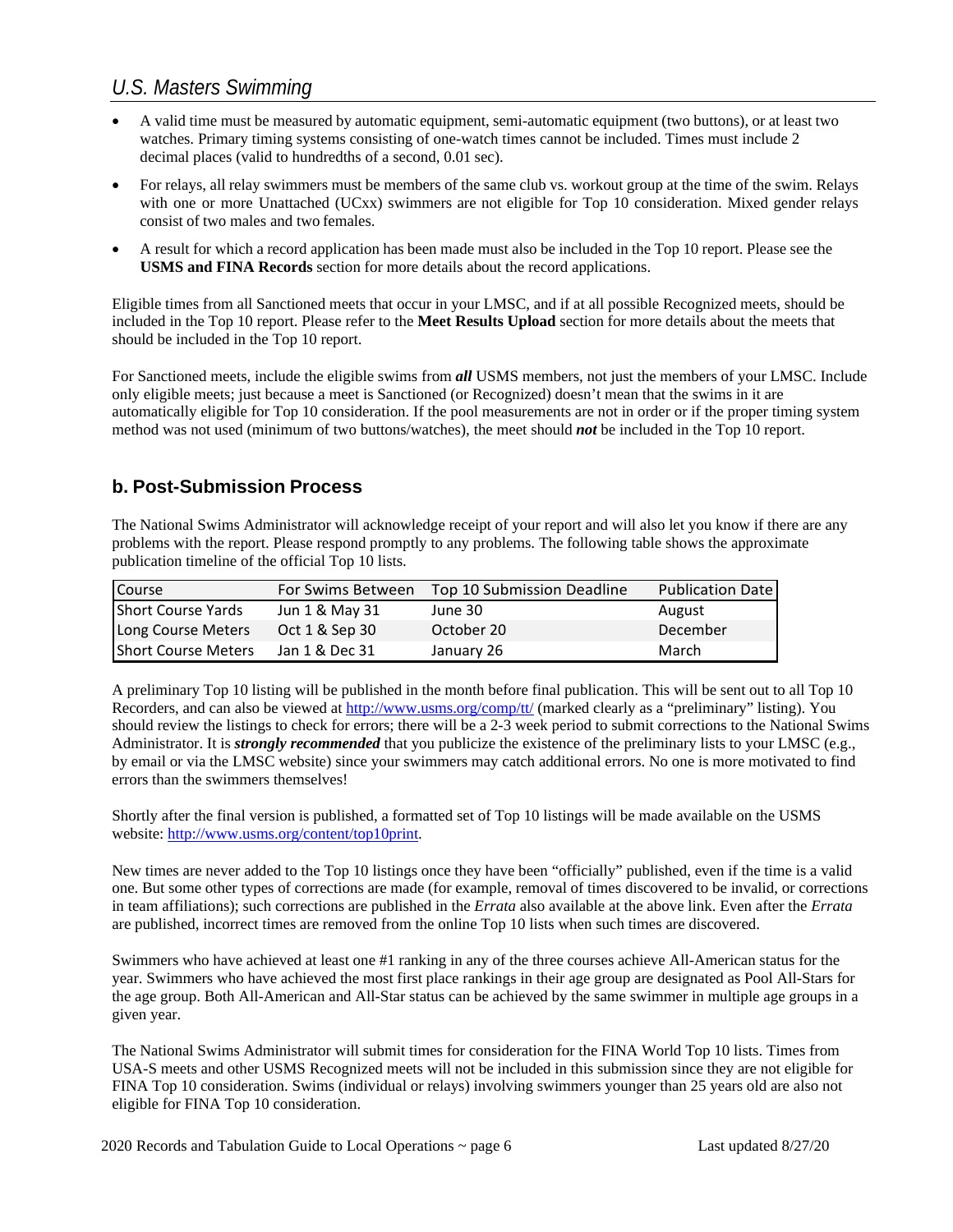- A valid time must be measured by automatic equipment, semi-automatic equipment (two buttons), or at least two watches. Primary timing systems consisting of one-watch times cannot be included. Times must include 2 decimal places (valid to hundredths of a second, 0.01 sec).
- For relays, all relay swimmers must be members of the same club vs. workout group at the time of the swim. Relays with one or more Unattached (UCxx) swimmers are not eligible for Top 10 consideration. Mixed gender relays consist of two males and two females.
- A result for which a record application has been made must also be included in the Top 10 report. Please see the **USMS and FINA Records** section for more details about the record applications.

Eligible times from all Sanctioned meets that occur in your LMSC, and if at all possible Recognized meets, should be included in the Top 10 report. Please refer to the **Meet Results Upload** section for more details about the meets that should be included in the Top 10 report.

For Sanctioned meets, include the eligible swims from *all* USMS members, not just the members of your LMSC. Include only eligible meets; just because a meet is Sanctioned (or Recognized) doesn't mean that the swims in it are automatically eligible for Top 10 consideration. If the pool measurements are not in order or if the proper timing system method was not used (minimum of two buttons/watches), the meet should *not* be included in the Top 10 report.

## **b. Post-Submission Process**

The National Swims Administrator will acknowledge receipt of your report and will also let you know if there are any problems with the report. Please respond promptly to any problems. The following table shows the approximate publication timeline of the official Top 10 lists.

| Course                     | For Swims Between | Top 10 Submission Deadline | <b>Publication Date</b> |
|----------------------------|-------------------|----------------------------|-------------------------|
| Short Course Yards         | Jun 1 & May 31    | June 30                    | August                  |
| Long Course Meters         | Oct 1 & Sep 30    | October 20                 | December                |
| <b>Short Course Meters</b> | Jan 1 & Dec 31    | January 26                 | March                   |

A preliminary Top 10 listing will be published in the month before final publication. This will be sent out to all Top 10 Recorders, and can also be viewed at<http://www.usms.org/comp/tt/> (marked clearly as a "preliminary" listing). You should review the listings to check for errors; there will be a 2-3 week period to submit corrections to the National Swims Administrator. It is *strongly recommended* that you publicize the existence of the preliminary lists to your LMSC (e.g., by email or via the LMSC website) since your swimmers may catch additional errors. No one is more motivated to find errors than the swimmers themselves!

Shortly after the final version is published, a formatted set of Top 10 listings will be made available on the USMS website: [http://www.usms.org/content/top10print.](http://www.usms.org/content/top10print)

New times are never added to the Top 10 listings once they have been "officially" published, even if the time is a valid one. But some other types of corrections are made (for example, removal of times discovered to be invalid, or corrections in team affiliations); such corrections are published in the *Errata* also available at the above link. Even after the *Errata*  are published, incorrect times are removed from the online Top 10 lists when such times are discovered.

Swimmers who have achieved at least one #1 ranking in any of the three courses achieve All-American status for the year. Swimmers who have achieved the most first place rankings in their age group are designated as Pool All-Stars for the age group. Both All-American and All-Star status can be achieved by the same swimmer in multiple age groups in a given year.

The National Swims Administrator will submit times for consideration for the FINA World Top 10 lists. Times from USA-S meets and other USMS Recognized meets will not be included in this submission since they are not eligible for FINA Top 10 consideration. Swims (individual or relays) involving swimmers younger than 25 years old are also not eligible for FINA Top 10 consideration.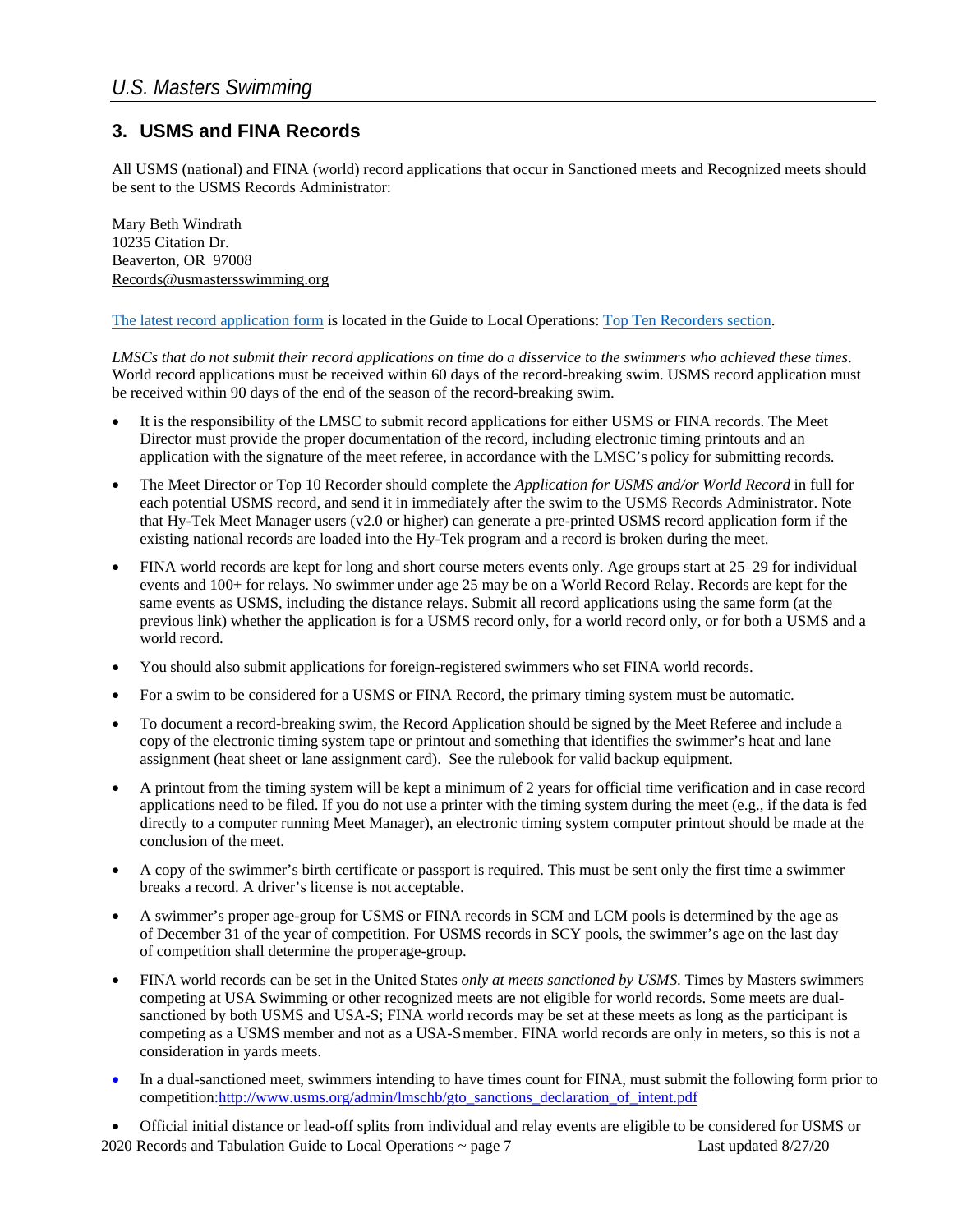## **3. USMS and FINA Records**

All USMS (national) and FINA (world) record applications that occur in Sanctioned meets and Recognized meets should be sent to the USMS Records Administrator:

Mary Beth Windrath 10235 Citation Dr. Beaverton, OR 97008 Records@usmastersswimming.org

#### [The latest record application form](https://www.usms.org/-/media/usms/PDFs/Guide%20To%20Operations%20-%20GTO/Top%2010%20and%20Rec%20and%20Tab/gto_rectab_record_application) is located in the Guide to Local Operations[: Top Ten Recorders](https://www.usms.org/volunteer-central/guide-to-local-operations/lmsc-operations/top-ten-recorders) section.

*LMSCs that do not submit their record applications on time do a disservice to the swimmers who achieved these times*. World record applications must be received within 60 days of the record-breaking swim. USMS record application must be received within 90 days of the end of the season of the record-breaking swim.

- It is the responsibility of the LMSC to submit record applications for either USMS or FINA records. The Meet Director must provide the proper documentation of the record, including electronic timing printouts and an application with the signature of the meet referee, in accordance with the LMSC's policy for submitting records.
- The Meet Director or Top 10 Recorder should complete the *Application for USMS and/or World Record* in full for each potential USMS record, and send it in immediately after the swim to the USMS Records Administrator. Note that Hy-Tek Meet Manager users (v2.0 or higher) can generate a pre-printed USMS record application form if the existing national records are loaded into the Hy-Tek program and a record is broken during the meet.
- FINA world records are kept for long and short course meters events only. Age groups start at 25–29 for individual events and 100+ for relays. No swimmer under age 25 may be on a World Record Relay. Records are kept for the same events as USMS, including the distance relays. Submit all record applications using the same form (at the previous link) whether the application is for a USMS record only, for a world record only, or for both a USMS and a world record.
- You should also submit applications for foreign-registered swimmers who set FINA world records.
- For a swim to be considered for a USMS or FINA Record, the primary timing system must be automatic.
- To document a record-breaking swim, the Record Application should be signed by the Meet Referee and include a copy of the electronic timing system tape or printout and something that identifies the swimmer's heat and lane assignment (heat sheet or lane assignment card). See the rulebook for valid backup equipment.
- A printout from the timing system will be kept a minimum of 2 years for official time verification and in case record applications need to be filed. If you do not use a printer with the timing system during the meet  $(e.g., if the data is fed)$ directly to a computer running Meet Manager), an electronic timing system computer printout should be made at the conclusion of the meet.
- A copy of the swimmer's birth certificate or passport is required. This must be sent only the first time a swimmer breaks a record. A driver's license is not acceptable.
- A swimmer's proper age-group for USMS or FINA records in SCM and LCM pools is determined by the age as of December 31 of the year of competition. For USMS records in SCY pools, the swimmer's age on the last day of competition shall determine the properage-group.
- FINA world records can be set in the United States *only at meets sanctioned by USMS*. Times by Masters swimmers competing at USA Swimming or other recognized meets are not eligible for world records. Some meets are dualsanctioned by both USMS and USA-S; FINA world records may be set at these meets as long as the participant is competing as a USMS member and not as a USA-Smember. FINA world records are only in meters, so this is not a consideration in yards meets.
- In a dual-sanctioned meet, swimmers intending to have times count for FINA, must submit the following form prior to competition[:http://www.usms.org/admin/lmschb/gto\\_sanctions\\_declaration\\_of\\_intent.pdf](http://www.usms.org/admin/lmschb/gto_sanctions_declaration_of_intent.pdf)

2020 Records and Tabulation Guide to Local Operations ~ page 7 Last updated 8/27/20 • Official initial distance or lead-off splits from individual and relay events are eligible to be considered for USMS or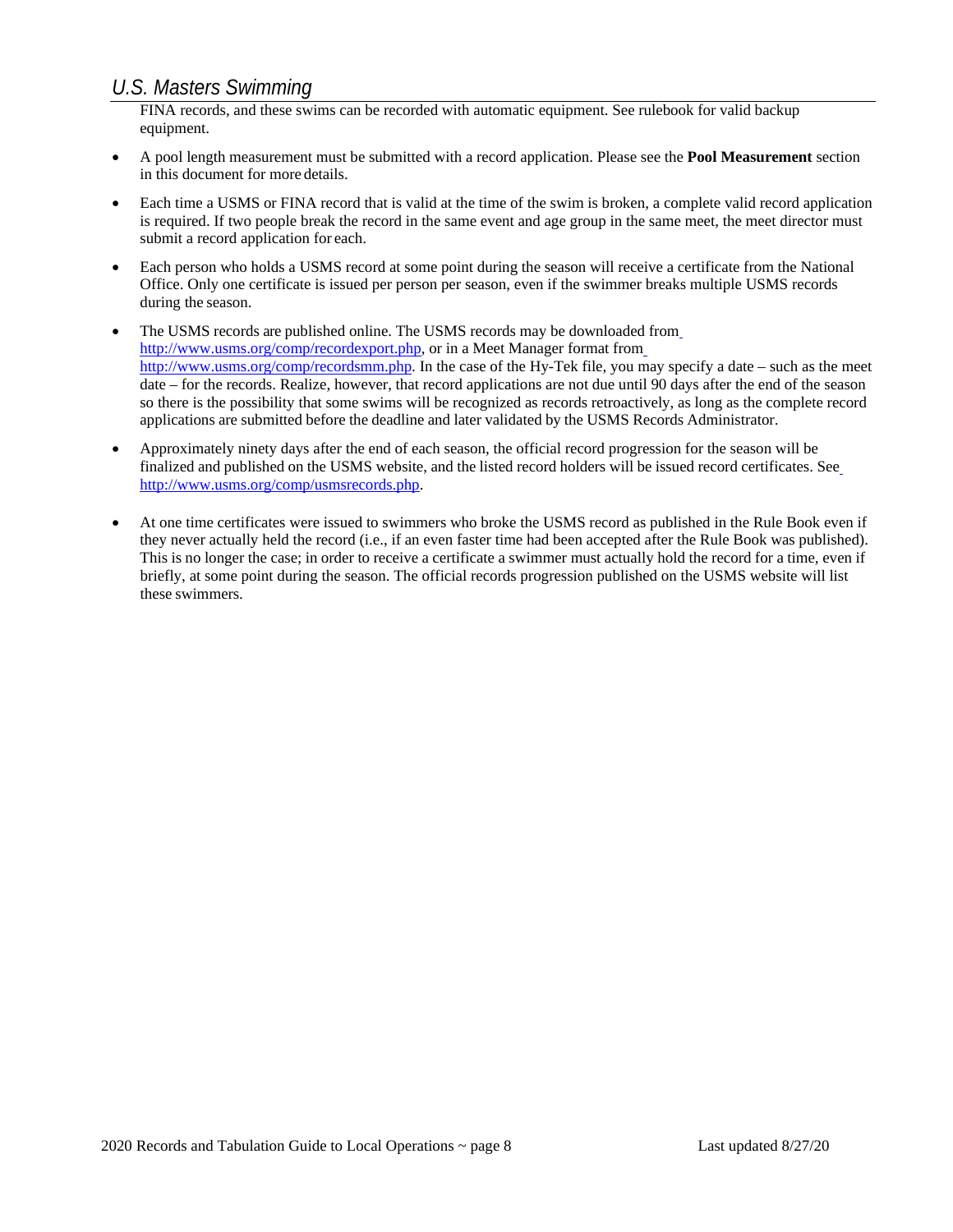FINA records, and these swims can be recorded with automatic equipment. See rulebook for valid backup equipment.

- A pool length measurement must be submitted with a record application. Please see the **Pool Measurement** section in this document for more details.
- Each time a USMS or FINA record that is valid at the time of the swim is broken, a complete valid record application is required. If two people break the record in the same event and age group in the same meet, the meet director must submit a record application for each.
- Each person who holds a USMS record at some point during the season will receive a certificate from the National Office. Only one certificate is issued per person per season, even if the swimmer breaks multiple USMS records during the season.
- The USMS records are published online. The USMS records [m](http://www.usms.org/comp/recordexport.php)ay be downloaded from [http://www.usms.org/comp/recordexport.php, o](http://www.usms.org/comp/recordexport.php)r in a Meet Manager format fro[m](http://www.usms.org/comp/recordsmm.php) [http://www.usms.org/comp/recordsmm.php. I](http://www.usms.org/comp/recordsmm.php)n the case of the Hy-Tek file, you may specify a date – such as the meet date – for the records. Realize, however, that record applications are not due until 90 days after the end of the season so there is the possibility that some swims will be recognized as records retroactively, as long as the complete record applications are submitted before the deadline and later validated by the USMS Records Administrator.
- Approximately ninety days after the end of each season, the official record progression for the season will be finalized and published on the USMS website, and the listed record holders will be issued record certificates. Se[e](http://www.usms.org/comp/usmsrecords.php) [http://www.usms.org/comp/usmsrecords.php.](http://www.usms.org/comp/usmsrecords.php)
- At one time certificates were issued to swimmers who broke the USMS record as published in the Rule Book even if they never actually held the record (i.e., if an even faster time had been accepted after the Rule Book was published). This is no longer the case; in order to receive a certificate a swimmer must actually hold the record for a time, even if briefly, at some point during the season. The official records progression published on the USMS website will list these swimmers.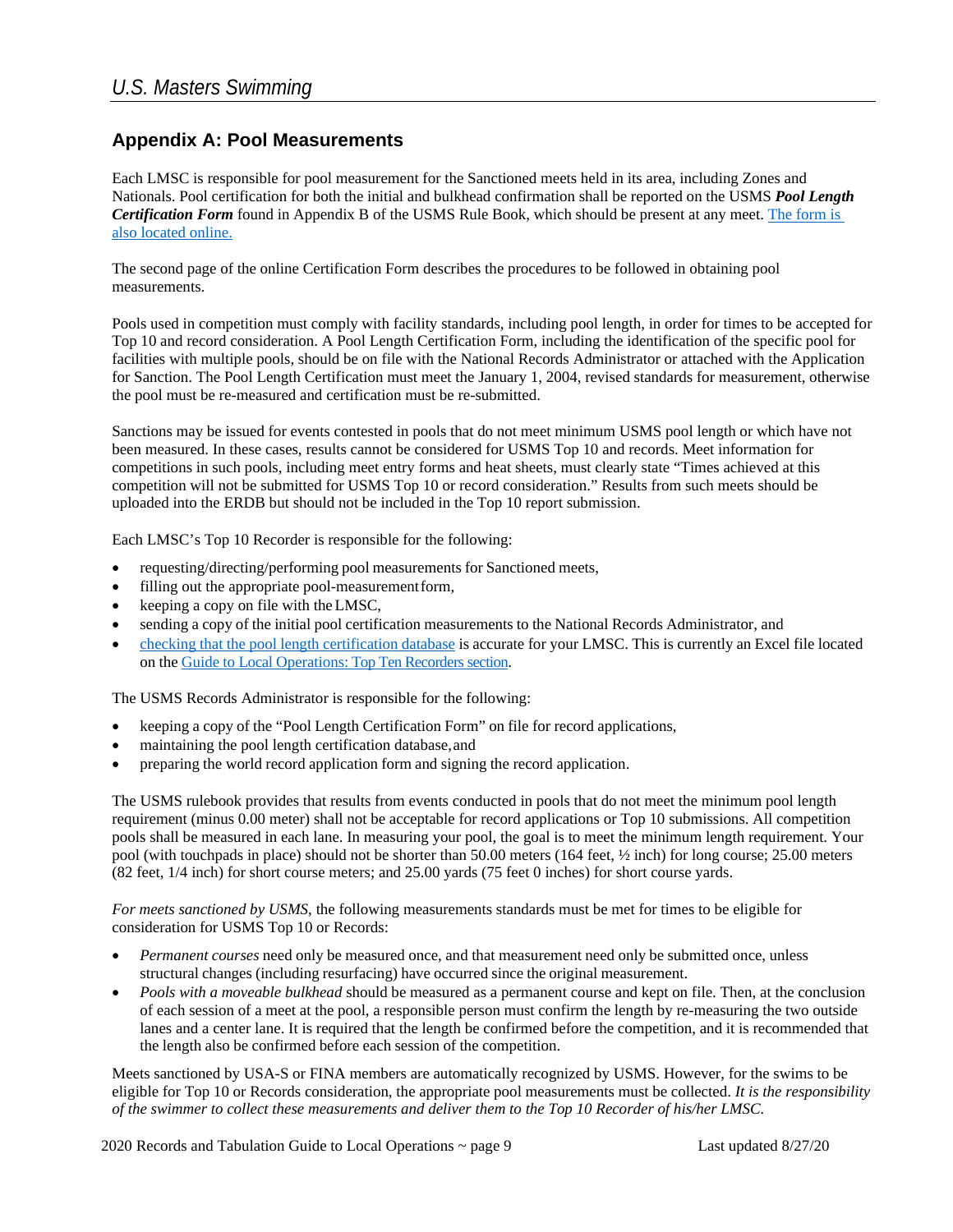## **Appendix A: Pool Measurements**

Each LMSC is responsible for pool measurement for the Sanctioned meets held in its area, including Zones and Nationals. Pool certification for both the initial and bulkhead confirmation shall be reported on the USMS *Pool Length Certification Form* found in Appendix B of the USMS Rule Book, which should be present at any meet[. The form is](https://www.usms.org/-/media/usms/PDFs/Guide%20To%20Operations%20-%20GTO/Top%2010%20and%20Rec%20and%20Tab/gto_rectab_pool_measurement)  [also located](https://www.usms.org/-/media/usms/PDFs/Guide%20To%20Operations%20-%20GTO/Top%2010%20and%20Rec%20and%20Tab/gto_rectab_pool_measurement) online.

The second page of the online Certification Form describes the procedures to be followed in obtaining pool measurements.

Pools used in competition must comply with facility standards, including pool length, in order for times to be accepted for Top 10 and record consideration. A Pool Length Certification Form, including the identification of the specific pool for facilities with multiple pools, should be on file with the National Records Administrator or attached with the Application for Sanction. The Pool Length Certification must meet the January 1, 2004, revised standards for measurement, otherwise the pool must be re-measured and certification must be re-submitted.

Sanctions may be issued for events contested in pools that do not meet minimum USMS pool length or which have not been measured. In these cases, results cannot be considered for USMS Top 10 and records. Meet information for competitions in such pools, including meet entry forms and heat sheets, must clearly state "Times achieved at this competition will not be submitted for USMS Top 10 or record consideration." Results from such meets should be uploaded into the ERDB but should not be included in the Top 10 report submission.

Each LMSC's Top 10 Recorder is responsible for the following:

- requesting/directing/performing pool measurements for Sanctioned meets,
- filling out the appropriate pool-measurementform,
- keeping a copy on file with theLMSC,
- sending a copy of the initial pool certification measurements to the National Records Administrator, and
- checking that the pool length [certification](https://cm.usms.org/-/media/usms/pdfs/guide%20to%20operations%20-%20gto/top%2010%20and%20rec%20and%20tab/poollengthdb.xlsx) database is accurate for your LMSC. This is currently an Excel file located on the Guide to Local Operations: Top Ten Recorders section.

The USMS Records Administrator is responsible for the following:

- keeping a copy of the "Pool Length Certification Form" on file for record applications,
- maintaining the pool length certification database, and
- preparing the world record application form and signing the record application.

The USMS rulebook provides that results from events conducted in pools that do not meet the minimum pool length requirement (minus 0.00 meter) shall not be acceptable for record applications or Top 10 submissions. All competition pools shall be measured in each lane. In measuring your pool, the goal is to meet the minimum length requirement. Your pool (with touchpads in place) should not be shorter than 50.00 meters (164 feet, ½ inch) for long course; 25.00 meters (82 feet, 1/4 inch) for short course meters; and 25.00 yards (75 feet 0 inches) for short course yards.

*For meets sanctioned by USMS*, the following measurements standards must be met for times to be eligible for consideration for USMS Top 10 or Records:

- *Permanent courses* need only be measured once, and that measurement need only be submitted once, unless structural changes (including resurfacing) have occurred since the original measurement.
- *Pools with a moveable bulkhead* should be measured as a permanent course and kept on file. Then, at the conclusion of each session of a meet at the pool, a responsible person must confirm the length by re-measuring the two outside lanes and a center lane. It is required that the length be confirmed before the competition, and it is recommended that the length also be confirmed before each session of the competition.

Meets sanctioned by USA-S or FINA members are automatically recognized by USMS. However, for the swims to be eligible for Top 10 or Records consideration, the appropriate pool measurements must be collected. *It is the responsibility of the swimmer to collect these measurements and deliver them to the Top 10 Recorder of his/her LMSC.*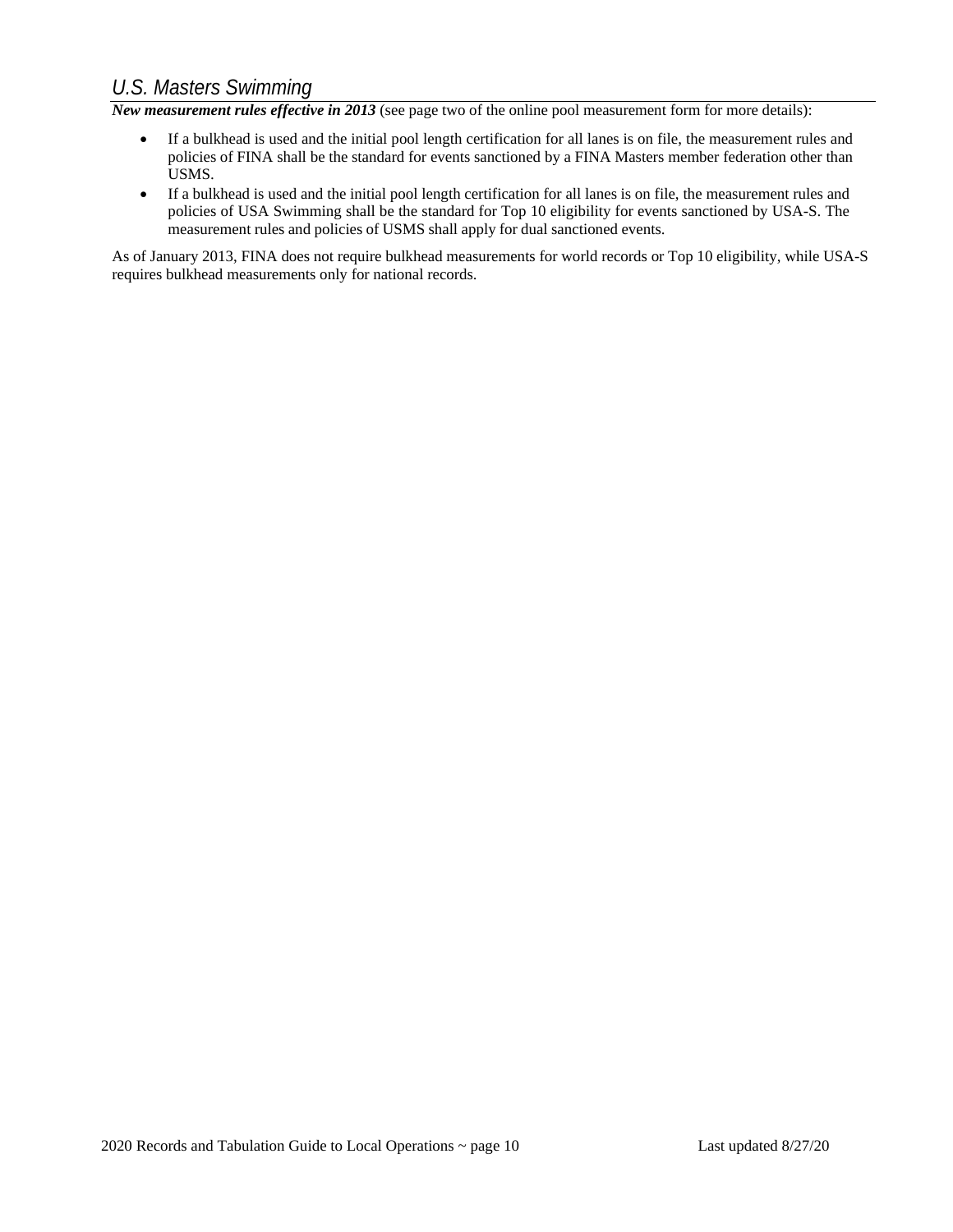*New measurement rules effective in 2013* (see page two of the online pool measurement form for more details):

- If a bulkhead is used and the initial pool length certification for all lanes is on file, the measurement rules and policies of FINA shall be the standard for events sanctioned by a FINA Masters member federation other than USMS.
- If a bulkhead is used and the initial pool length certification for all lanes is on file, the measurement rules and policies of USA Swimming shall be the standard for Top 10 eligibility for events sanctioned by USA-S. The measurement rules and policies of USMS shall apply for dual sanctioned events.

As of January 2013, FINA does not require bulkhead measurements for world records or Top 10 eligibility, while USA-S requires bulkhead measurements only for national records.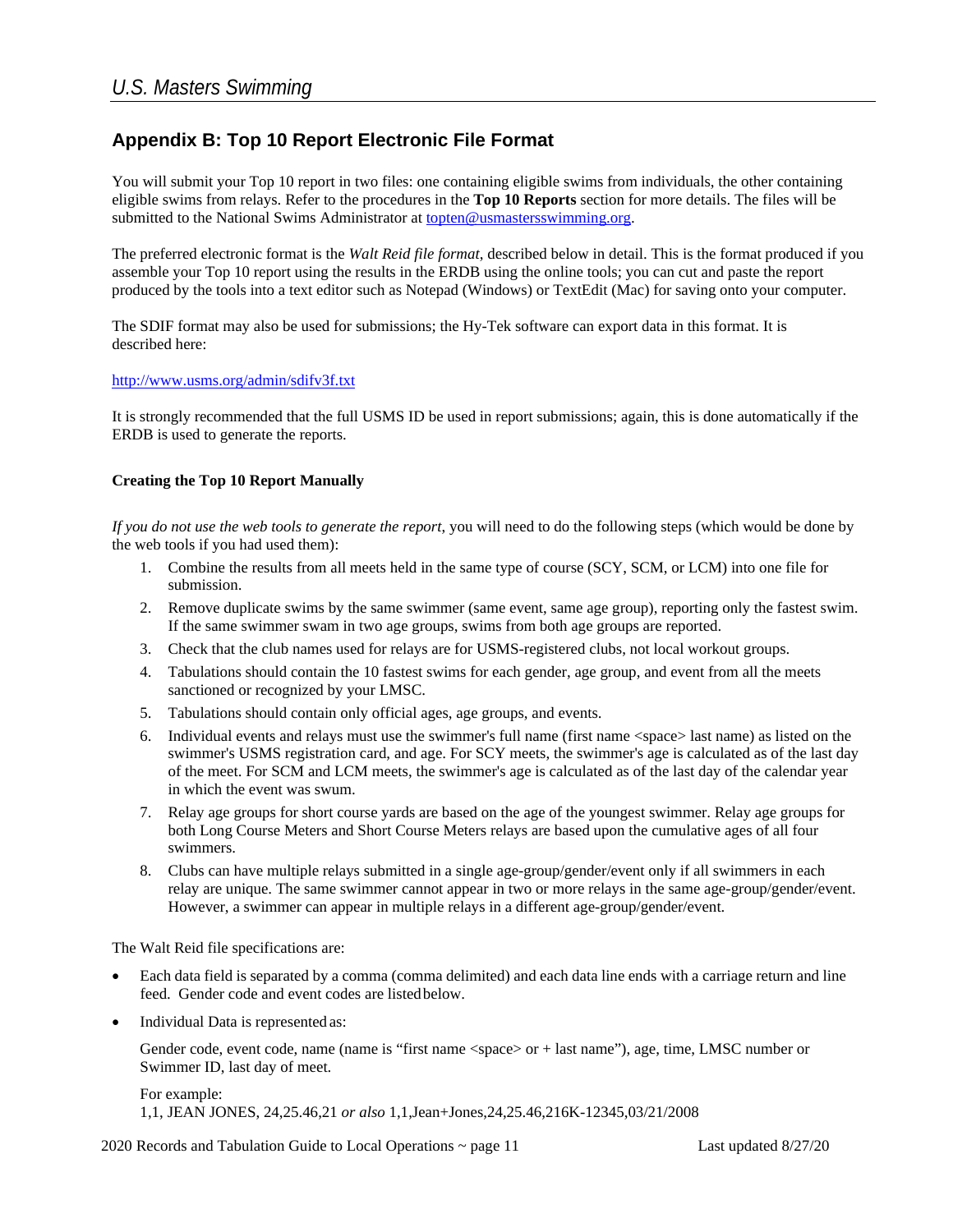## **Appendix B: Top 10 Report Electronic File Format**

You will submit your Top 10 report in two files: one containing eligible swims from individuals, the other containing eligible swims from relays. Refer to the procedures in the **Top 10 Reports** section for more details. The files will be submitted to the National Swims Administrator at [topten@usmastersswimming.org.](mailto:topten@usms.org)

The preferred electronic format is the *Walt Reid file format*, described below in detail. This is the format produced if you assemble your Top 10 report using the results in the ERDB using the online tools; you can cut and paste the report produced by the tools into a text editor such as Notepad (Windows) or TextEdit (Mac) for saving onto your computer.

The SDIF format may also be used for submissions; the Hy-Tek software can export data in this format. It is described here:

#### <http://www.usms.org/admin/sdifv3f.txt>

It is strongly recommended that the full USMS ID be used in report submissions; again, this is done automatically if the ERDB is used to generate the reports.

#### **Creating the Top 10 Report Manually**

*If you do not use the web tools to generate the report*, you will need to do the following steps (which would be done by the web tools if you had used them):

- 1. Combine the results from all meets held in the same type of course (SCY, SCM, or LCM) into one file for submission.
- 2. Remove duplicate swims by the same swimmer (same event, same age group), reporting only the fastest swim. If the same swimmer swam in two age groups, swims from both age groups are reported.
- 3. Check that the club names used for relays are for USMS-registered clubs, not local workout groups.
- 4. Tabulations should contain the 10 fastest swims for each gender, age group, and event from all the meets sanctioned or recognized by your LMSC.
- 5. Tabulations should contain only official ages, age groups, and events.
- 6. Individual events and relays must use the swimmer's full name (first name <space> last name) as listed on the swimmer's USMS registration card, and age. For SCY meets, the swimmer's age is calculated as of the last day of the meet. For SCM and LCM meets, the swimmer's age is calculated as of the last day of the calendar year in which the event was swum.
- 7. Relay age groups for short course yards are based on the age of the youngest swimmer. Relay age groups for both Long Course Meters and Short Course Meters relays are based upon the cumulative ages of all four swimmers.
- 8. Clubs can have multiple relays submitted in a single age-group/gender/event only if all swimmers in each relay are unique. The same swimmer cannot appear in two or more relays in the same age-group/gender/event. However, a swimmer can appear in multiple relays in a different age-group/gender/event.

The Walt Reid file specifications are:

- Each data field is separated by a comma (comma delimited) and each data line ends with a carriage return and line feed. Gender code and event codes are listedbelow.
- Individual Data is represented as:

Gender code, event code, name (name is "first name <space> or + last name"), age, time, LMSC number or Swimmer ID, last day of meet.

For example: 1,1, JEAN JONES, 24,25.46,21 *or also* 1,1,Jean+Jones,24,25.46,216K-12345,03/21/2008

2020 Records and Tabulation Guide to Local Operations ~ page 11 Last updated 8/27/20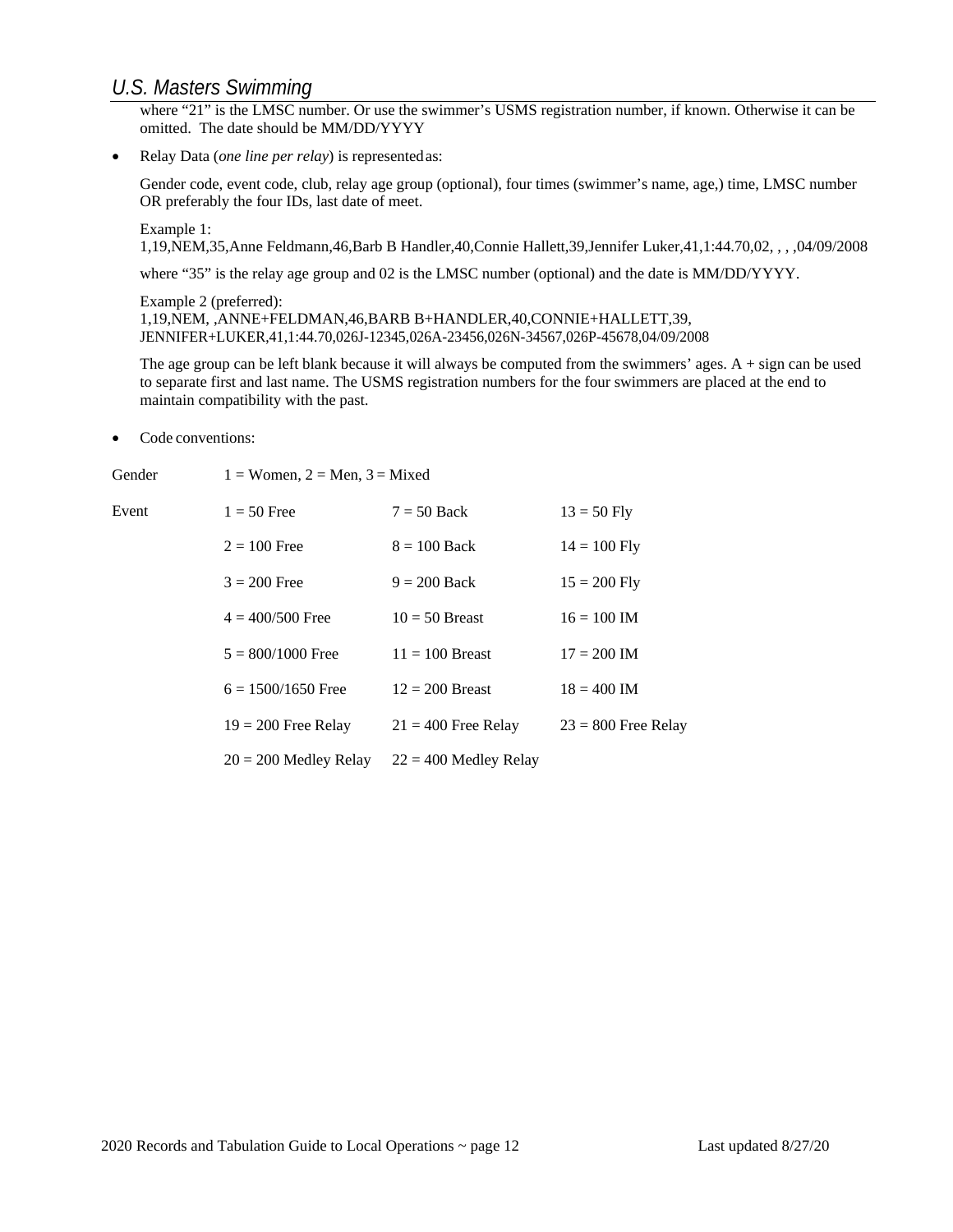where "21" is the LMSC number. Or use the swimmer's USMS registration number, if known. Otherwise it can be omitted. The date should be MM/DD/YYYY

• Relay Data (*one line per relay*) is representedas:

Gender code, event code, club, relay age group (optional), four times (swimmer's name, age,) time, LMSC number OR preferably the four IDs, last date of meet.

Example 1:

1,19,NEM,35,Anne Feldmann,46,Barb B Handler,40,Connie Hallett,39,Jennifer Luker,41,1:44.70,02, , , ,04/09/2008

where "35" is the relay age group and 02 is the LMSC number (optional) and the date is MM/DD/YYYY.

Example 2 (preferred): 1,19,NEM, ,ANNE+FELDMAN,46,BARB B+HANDLER,40,CONNIE+HALLETT,39, JENNIFER+LUKER,41,1:44.70,026J-12345,026A-23456,026N-34567,026P-45678,04/09/2008

The age group can be left blank because it will always be computed from the swimmers' ages. A + sign can be used to separate first and last name. The USMS registration numbers for the four swimmers are placed at the end to maintain compatibility with the past.

• Code conventions:

| Gender | $1 =$ Women, $2 =$ Men, $3 =$ Mixed |                         |                       |  |
|--------|-------------------------------------|-------------------------|-----------------------|--|
| Event  | $1 = 50$ Free                       | $7 = 50$ Back           | $13 = 50$ Fly         |  |
|        | $2 = 100$ Free                      | $8 = 100$ Back          | $14 = 100$ Fly        |  |
|        | $3 = 200$ Free                      | $9 = 200$ Back          | $15 = 200$ Fly        |  |
|        | $4 = 400/500$ Free                  | $10 = 50$ Breast        | $16 = 100$ IM         |  |
|        | $5 = 800/1000$ Free                 | $11 = 100$ Breast       | $17 = 200$ IM         |  |
|        | $6 = 1500/1650$ Free                | $12 = 200$ Breast       | $18 = 400$ IM         |  |
|        | $19 = 200$ Free Relay               | $21 = 400$ Free Relay   | $23 = 800$ Free Relay |  |
|        | $20 = 200$ Medley Relay             | $22 = 400$ Medley Relay |                       |  |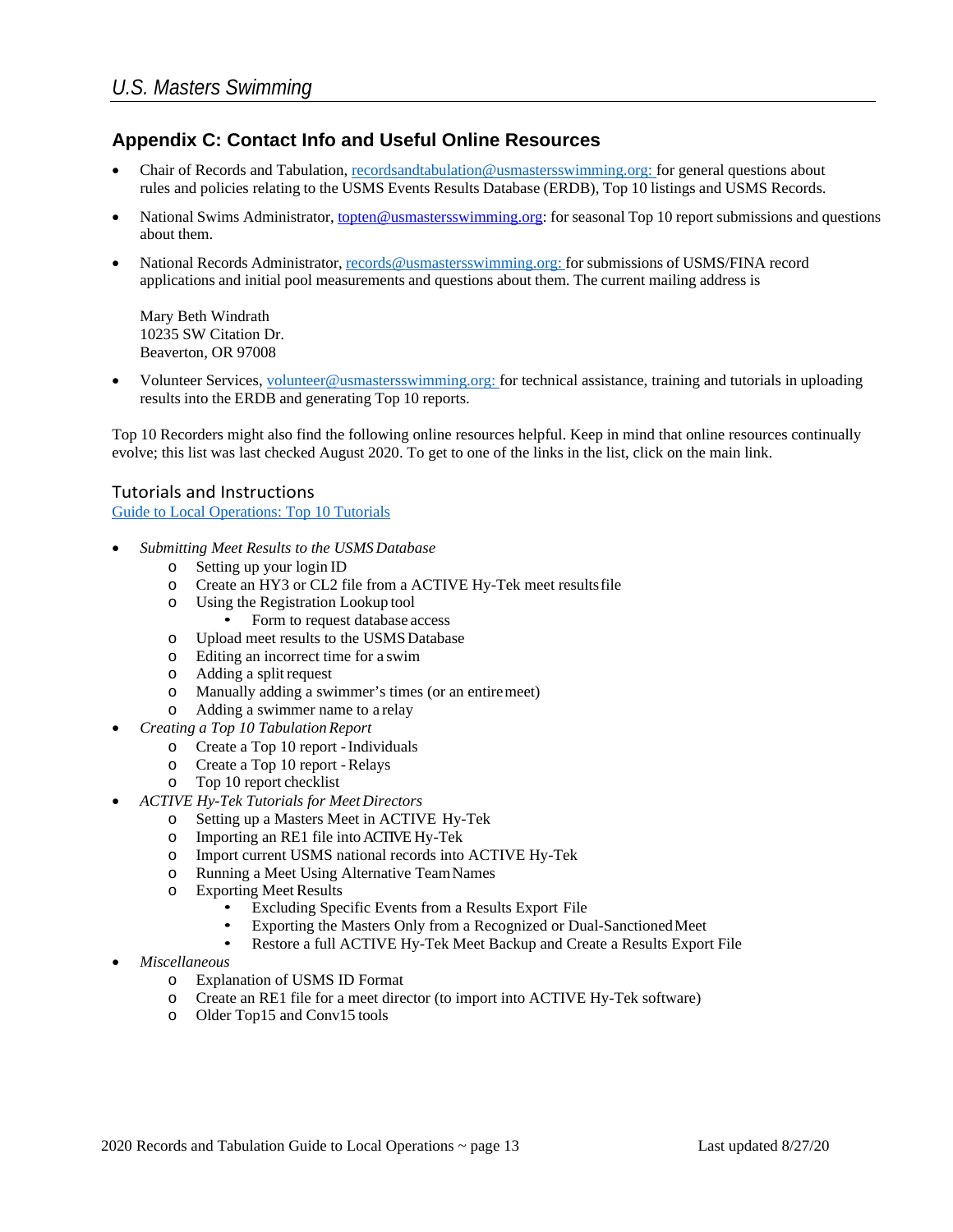## **Appendix C: Contact Info and Useful Online Resources**

- Chair of Records and Tabulation, [recordsandtabulation@usmastersswimming.org: f](mailto:recordsandtabulation@usmastersswimming.org:)or general questions about rules and policies relating to the USMS Events Results Database (ERDB), Top 10 listings and USMS Records.
- National Swims Administrator, [topten@usmastersswimming.org:](mailto:topten@usms.org) for seasonal Top 10 report submissions and questions about them.
- National Records Administrator, [records@usmastersswimming.org:](mailto:records@usmastersswimming.org:) for submissions of USMS/FINA record applications and initial pool measurements and questions about them. The current mailing address is

Mary Beth Windrath 10235 SW Citation Dr. Beaverton, OR 97008

• Volunteer Services, [volunteer@usmastersswimming.org: f](mailto:volunteer@usmastersswimming.org:)or technical assistance, training and tutorials in uploading results into the ERDB and generating Top 10 reports.

Top 10 Recorders might also find the following online resources helpful. Keep in mind that online resources continually evolve; this list was last checked August 2020. To get to one of the links in the list, click on the main link.

# Tutorials and Instructions

[Guide to Local Operations: Top 10 Tutorials](https://www.usms.org/volunteer-central/guide-to-local-operations/lmsc-operations/top-ten-recorders/top-10-tutorials)

- *Submitting Meet Results to the USMSDatabase*
	- o Setting up your login ID
	- o Create an HY3 or CL2 file from a ACTIVE Hy-Tek meet resultsfile
	- o Using the Registration Lookup tool
		- Form to request database access
	- o Upload meet results to the USMSDatabase
	- o Editing an incorrect time for a swim
	- o Adding a split request
	- o Manually adding a swimmer's times (or an entiremeet)
	- o Adding a swimmer name to a relay
- *Creating a Top 10 Tabulation Report*
	- o Create a Top 10 report -Individuals
	- o Create a Top 10 report -Relays
	- o Top 10 report checklist
- *ACTIVE Hy-Tek Tutorials for Meet Directors*
	- o Setting up a Masters Meet in ACTIVE Hy-Tek
	- Importing an RE1 file into ACTIVE Hy-Tek
	- o Import current USMS national records into ACTIVE Hy-Tek
	- o Running a Meet Using Alternative TeamNames
	- **Exporting Meet Results** 
		- Excluding Specific Events from a Results Export File
		- Exporting the Masters Only from a Recognized or Dual-SanctionedMeet
		- Restore a full ACTIVE Hy-Tek Meet Backup and Create a Results Export File
- *Miscellaneous*
	- o Explanation of USMS ID Format
	- o Create an RE1 file for a meet director (to import into ACTIVE Hy-Tek software)
	- Older Top15 and Conv15 tools